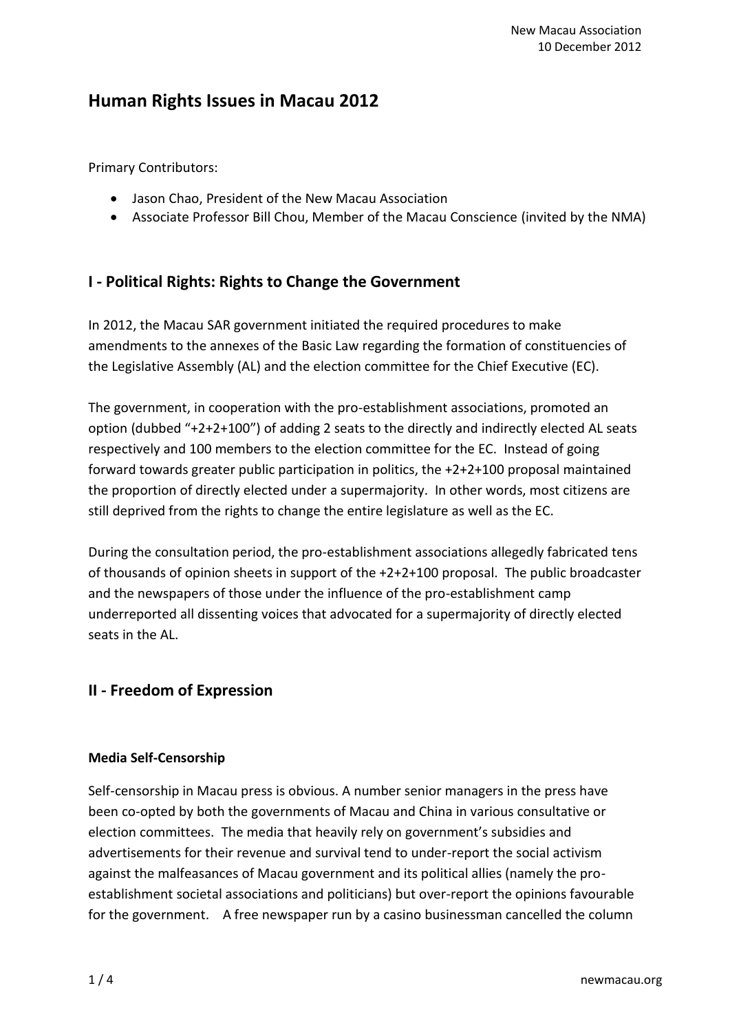# **Human Rights Issues in Macau 2012**

Primary Contributors:

- Jason Chao, President of the New Macau Association
- Associate Professor Bill Chou, Member of the Macau Conscience (invited by the NMA)

## **I - Political Rights: Rights to Change the Government**

In 2012, the Macau SAR government initiated the required procedures to make amendments to the annexes of the Basic Law regarding the formation of constituencies of the Legislative Assembly (AL) and the election committee for the Chief Executive (EC).

The government, in cooperation with the pro-establishment associations, promoted an option (dubbed "+2+2+100") of adding 2 seats to the directly and indirectly elected AL seats respectively and 100 members to the election committee for the EC. Instead of going forward towards greater public participation in politics, the +2+2+100 proposal maintained the proportion of directly elected under a supermajority. In other words, most citizens are still deprived from the rights to change the entire legislature as well as the EC.

During the consultation period, the pro-establishment associations allegedly fabricated tens of thousands of opinion sheets in support of the +2+2+100 proposal. The public broadcaster and the newspapers of those under the influence of the pro-establishment camp underreported all dissenting voices that advocated for a supermajority of directly elected seats in the AL.

## **II - Freedom of Expression**

### **Media Self-Censorship**

Self-censorship in Macau press is obvious. A number senior managers in the press have been co-opted by both the governments of Macau and China in various consultative or election committees. The media that heavily rely on government's subsidies and advertisements for their revenue and survival tend to under-report the social activism against the malfeasances of Macau government and its political allies (namely the proestablishment societal associations and politicians) but over-report the opinions favourable for the government. A free newspaper run by a casino businessman cancelled the column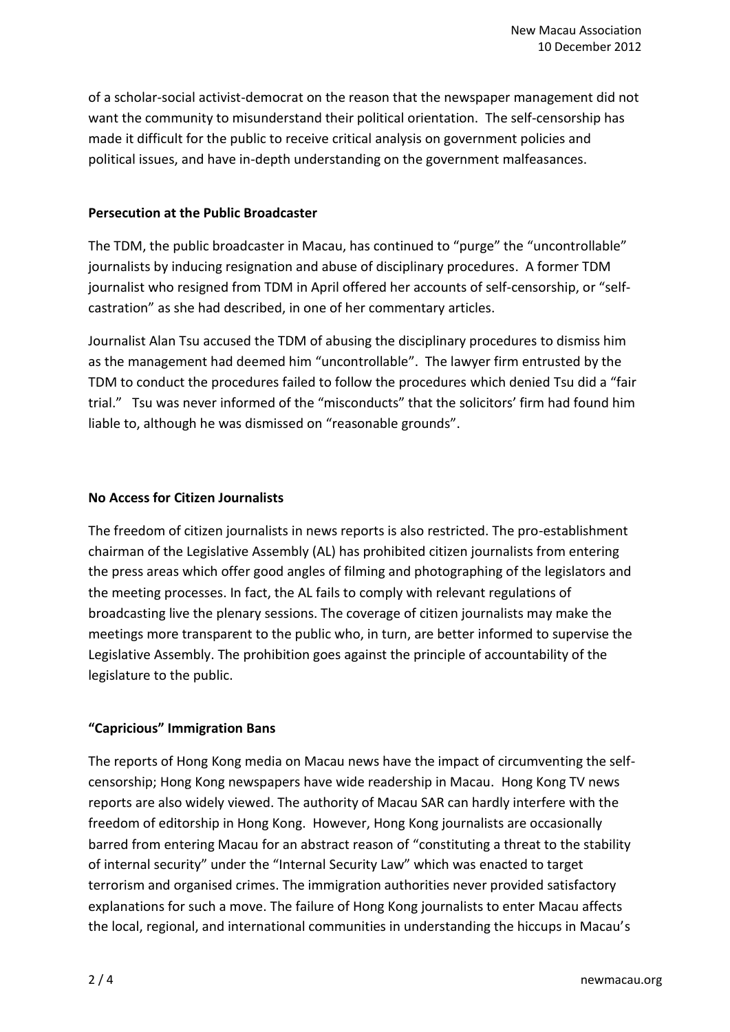of a scholar-social activist-democrat on the reason that the newspaper management did not want the community to misunderstand their political orientation. The self-censorship has made it difficult for the public to receive critical analysis on government policies and political issues, and have in-depth understanding on the government malfeasances.

#### **Persecution at the Public Broadcaster**

The TDM, the public broadcaster in Macau, has continued to "purge" the "uncontrollable" journalists by inducing resignation and abuse of disciplinary procedures. A former TDM journalist who resigned from TDM in April offered her accounts of self-censorship, or "selfcastration" as she had described, in one of her commentary articles.

Journalist Alan Tsu accused the TDM of abusing the disciplinary procedures to dismiss him as the management had deemed him "uncontrollable". The lawyer firm entrusted by the TDM to conduct the procedures failed to follow the procedures which denied Tsu did a "fair trial." Tsu was never informed of the "misconducts" that the solicitors' firm had found him liable to, although he was dismissed on "reasonable grounds".

### **No Access for Citizen Journalists**

The freedom of citizen journalists in news reports is also restricted. The pro-establishment chairman of the Legislative Assembly (AL) has prohibited citizen journalists from entering the press areas which offer good angles of filming and photographing of the legislators and the meeting processes. In fact, the AL fails to comply with relevant regulations of broadcasting live the plenary sessions. The coverage of citizen journalists may make the meetings more transparent to the public who, in turn, are better informed to supervise the Legislative Assembly. The prohibition goes against the principle of accountability of the legislature to the public.

### **"Capricious" Immigration Bans**

The reports of Hong Kong media on Macau news have the impact of circumventing the selfcensorship; Hong Kong newspapers have wide readership in Macau. Hong Kong TV news reports are also widely viewed. The authority of Macau SAR can hardly interfere with the freedom of editorship in Hong Kong. However, Hong Kong journalists are occasionally barred from entering Macau for an abstract reason of "constituting a threat to the stability of internal security" under the "Internal Security Law" which was enacted to target terrorism and organised crimes. The immigration authorities never provided satisfactory explanations for such a move. The failure of Hong Kong journalists to enter Macau affects the local, regional, and international communities in understanding the hiccups in Macau's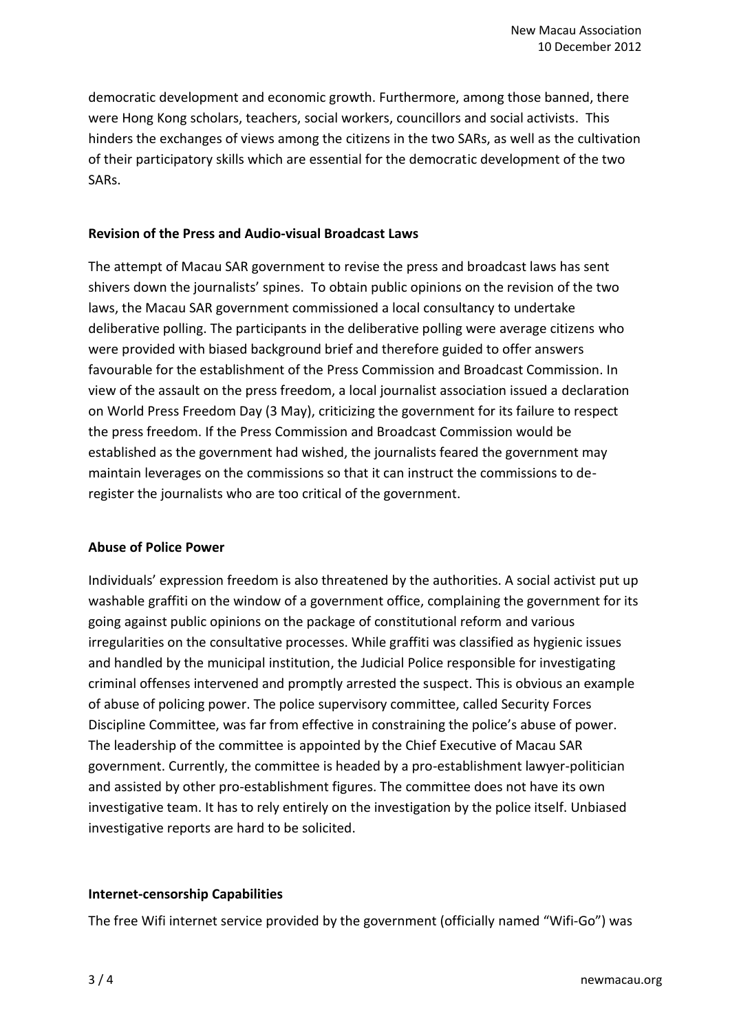democratic development and economic growth. Furthermore, among those banned, there were Hong Kong scholars, teachers, social workers, councillors and social activists. This hinders the exchanges of views among the citizens in the two SARs, as well as the cultivation of their participatory skills which are essential for the democratic development of the two SARs.

#### **Revision of the Press and Audio-visual Broadcast Laws**

The attempt of Macau SAR government to revise the press and broadcast laws has sent shivers down the journalists' spines. To obtain public opinions on the revision of the two laws, the Macau SAR government commissioned a local consultancy to undertake deliberative polling. The participants in the deliberative polling were average citizens who were provided with biased background brief and therefore guided to offer answers favourable for the establishment of the Press Commission and Broadcast Commission. In view of the assault on the press freedom, a local journalist association issued a declaration on World Press Freedom Day (3 May), criticizing the government for its failure to respect the press freedom. If the Press Commission and Broadcast Commission would be established as the government had wished, the journalists feared the government may maintain leverages on the commissions so that it can instruct the commissions to deregister the journalists who are too critical of the government.

### **Abuse of Police Power**

Individuals' expression freedom is also threatened by the authorities. A social activist put up washable graffiti on the window of a government office, complaining the government for its going against public opinions on the package of constitutional reform and various irregularities on the consultative processes. While graffiti was classified as hygienic issues and handled by the municipal institution, the Judicial Police responsible for investigating criminal offenses intervened and promptly arrested the suspect. This is obvious an example of abuse of policing power. The police supervisory committee, called Security Forces Discipline Committee, was far from effective in constraining the police's abuse of power. The leadership of the committee is appointed by the Chief Executive of Macau SAR government. Currently, the committee is headed by a pro-establishment lawyer-politician and assisted by other pro-establishment figures. The committee does not have its own investigative team. It has to rely entirely on the investigation by the police itself. Unbiased investigative reports are hard to be solicited.

### **Internet-censorship Capabilities**

The free Wifi internet service provided by the government (officially named "Wifi-Go") was